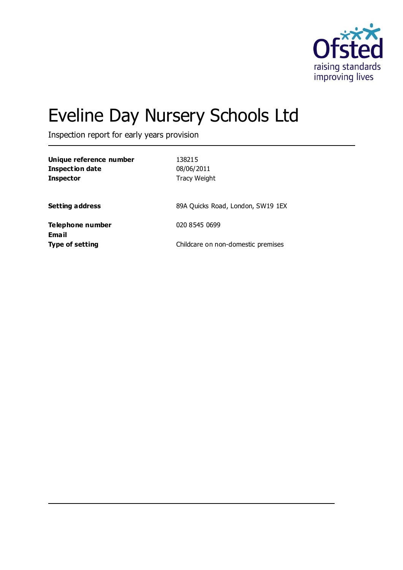

# Eveline Day Nursery Schools Ltd

Inspection report for early years provision

| Unique reference number<br><b>Inspection date</b><br><b>Inspector</b> | 138215<br>08/06/2011<br><b>Tracy Weight</b> |
|-----------------------------------------------------------------------|---------------------------------------------|
| <b>Setting address</b>                                                | 89A Quicks Road, London, SW19 1EX           |
| Telephone number                                                      | 020 8545 0699                               |
| <b>Email</b><br><b>Type of setting</b>                                | Childcare on non-domestic premises          |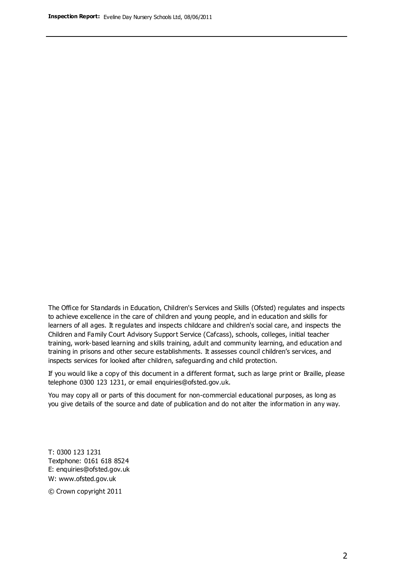The Office for Standards in Education, Children's Services and Skills (Ofsted) regulates and inspects to achieve excellence in the care of children and young people, and in education and skills for learners of all ages. It regulates and inspects childcare and children's social care, and inspects the Children and Family Court Advisory Support Service (Cafcass), schools, colleges, initial teacher training, work-based learning and skills training, adult and community learning, and education and training in prisons and other secure establishments. It assesses council children's services, and inspects services for looked after children, safeguarding and child protection.

If you would like a copy of this document in a different format, such as large print or Braille, please telephone 0300 123 1231, or email enquiries@ofsted.gov.uk.

You may copy all or parts of this document for non-commercial educational purposes, as long as you give details of the source and date of publication and do not alter the information in any way.

T: 0300 123 1231 Textphone: 0161 618 8524 E: enquiries@ofsted.gov.uk W: [www.ofsted.gov.uk](http://www.ofsted.gov.uk/)

© Crown copyright 2011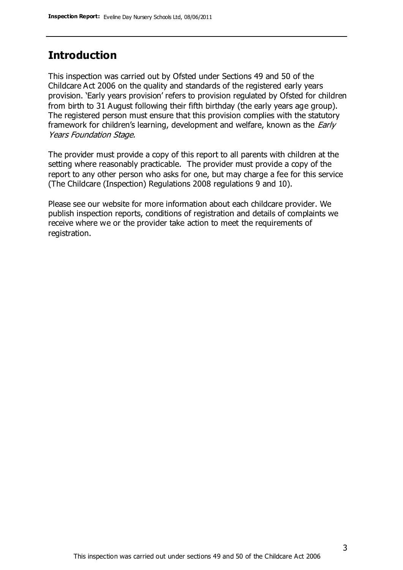## **Introduction**

This inspection was carried out by Ofsted under Sections 49 and 50 of the Childcare Act 2006 on the quality and standards of the registered early years provision. 'Early years provision' refers to provision regulated by Ofsted for children from birth to 31 August following their fifth birthday (the early years age group). The registered person must ensure that this provision complies with the statutory framework for children's learning, development and welfare, known as the *Early* Years Foundation Stage.

The provider must provide a copy of this report to all parents with children at the setting where reasonably practicable. The provider must provide a copy of the report to any other person who asks for one, but may charge a fee for this service (The Childcare (Inspection) Regulations 2008 regulations 9 and 10).

Please see our website for more information about each childcare provider. We publish inspection reports, conditions of registration and details of complaints we receive where we or the provider take action to meet the requirements of registration.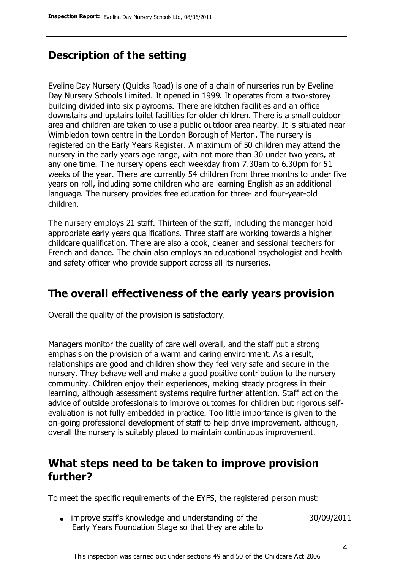# **Description of the setting**

Eveline Day Nursery (Quicks Road) is one of a chain of nurseries run by Eveline Day Nursery Schools Limited. It opened in 1999. It operates from a two-storey building divided into six playrooms. There are kitchen facilities and an office downstairs and upstairs toilet facilities for older children. There is a small outdoor area and children are taken to use a public outdoor area nearby. It is situated near Wimbledon town centre in the London Borough of Merton. The nursery is registered on the Early Years Register. A maximum of 50 children may attend the nursery in the early years age range, with not more than 30 under two years, at any one time. The nursery opens each weekday from 7.30am to 6.30pm for 51 weeks of the year. There are currently 54 children from three months to under five years on roll, including some children who are learning English as an additional language. The nursery provides free education for three- and four-year-old children.

The nursery employs 21 staff. Thirteen of the staff, including the manager hold appropriate early years qualifications. Three staff are working towards a higher childcare qualification. There are also a cook, cleaner and sessional teachers for French and dance. The chain also employs an educational psychologist and health and safety officer who provide support across all its nurseries.

## **The overall effectiveness of the early years provision**

Overall the quality of the provision is satisfactory.

Managers monitor the quality of care well overall, and the staff put a strong emphasis on the provision of a warm and caring environment. As a result, relationships are good and children show they feel very safe and secure in the nursery. They behave well and make a good positive contribution to the nursery community. Children enjoy their experiences, making steady progress in their learning, although assessment systems require further attention. Staff act on the advice of outside professionals to improve outcomes for children but rigorous selfevaluation is not fully embedded in practice. Too little importance is given to the on-going professional development of staff to help drive improvement, although, overall the nursery is suitably placed to maintain continuous improvement.

# **What steps need to be taken to improve provision further?**

To meet the specific requirements of the EYFS, the registered person must:

improve staff's knowledge and understanding of the Early Years Foundation Stage so that they are able to 30/09/2011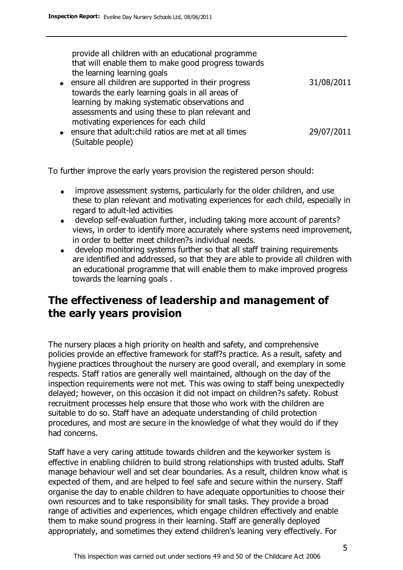provide all children with an educational programme that will enable them to make good progress towards the learning learning goals

- ensure all children are supported in their progress towards the early learning goals in all areas of learning by making systematic observations and assessments and using these to plan relevant and motivating experiences for each child 31/08/2011
- ensure that adult:child ratios are met at all times (Suitable people) 29/07/2011

To further improve the early years provision the registered person should:

- improve assessment systems, particularly for the older children, and use  $\bullet$ these to plan relevant and motivating experiences for each child, especially in regard to adult-led activities
- develop self-evaluation further, including taking more account of parents? views, in order to identify more accurately where systems need improvement, in order to better meet children?s individual needs.
- develop monitoring systems further so that all staff training requirements are identified and addressed, so that they are able to provide all children with an educational programme that will enable them to make improved progress towards the learning goals .

# **The effectiveness of leadership and management of the early years provision**

The nursery places a high priority on health and safety, and comprehensive policies provide an effective framework for staff?s practice. As a result, safety and hygiene practices throughout the nursery are good overall, and exemplary in some respects. Staff ratios are generally well maintained, although on the day of the inspection requirements were not met. This was owing to staff being unexpectedly delayed; however, on this occasion it did not impact on children?s safety. Robust recruitment processes help ensure that those who work with the children are suitable to do so. Staff have an adequate understanding of child protection procedures, and most are secure in the knowledge of what they would do if they had concerns.

Staff have a very caring attitude towards children and the keyworker system is effective in enabling children to build strong relationships with trusted adults. Staff manage behaviour well and set clear boundaries. As a result, children know what is expected of them, and are helped to feel safe and secure within the nursery. Staff organise the day to enable children to have adequate opportunities to choose their own resources and to take responsibility for small tasks. They provide a broad range of activities and experiences, which engage children effectively and enable them to make sound progress in their learning. Staff are generally deployed appropriately, and sometimes they extend children's leaning very effectively. For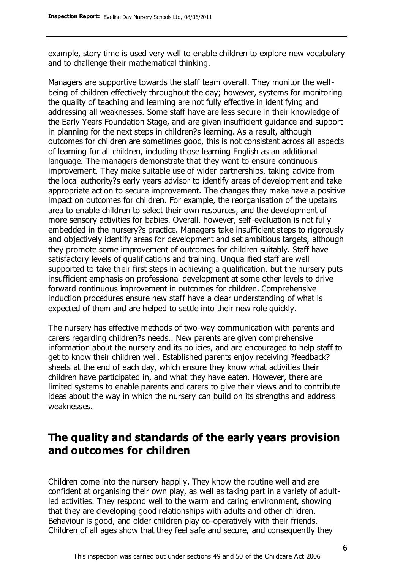example, story time is used very well to enable children to explore new vocabulary and to challenge their mathematical thinking.

Managers are supportive towards the staff team overall. They monitor the wellbeing of children effectively throughout the day; however, systems for monitoring the quality of teaching and learning are not fully effective in identifying and addressing all weaknesses. Some staff have are less secure in their knowledge of the Early Years Foundation Stage, and are given insufficient guidance and support in planning for the next steps in children?s learning. As a result, although outcomes for children are sometimes good, this is not consistent across all aspects of learning for all children, including those learning English as an additional language. The managers demonstrate that they want to ensure continuous improvement. They make suitable use of wider partnerships, taking advice from the local authority?s early years advisor to identify areas of development and take appropriate action to secure improvement. The changes they make have a positive impact on outcomes for children. For example, the reorganisation of the upstairs area to enable children to select their own resources, and the development of more sensory activities for babies. Overall, however, self-evaluation is not fully embedded in the nursery?s practice. Managers take insufficient steps to rigorously and objectively identify areas for development and set ambitious targets, although they promote some improvement of outcomes for children suitably. Staff have satisfactory levels of qualifications and training. Unqualified staff are well supported to take their first steps in achieving a qualification, but the nursery puts insufficient emphasis on professional development at some other levels to drive forward continuous improvement in outcomes for children. Comprehensive induction procedures ensure new staff have a clear understanding of what is expected of them and are helped to settle into their new role quickly.

The nursery has effective methods of two-way communication with parents and carers regarding children?s needs.. New parents are given comprehensive information about the nursery and its policies, and are encouraged to help staff to get to know their children well. Established parents enjoy receiving ?feedback? sheets at the end of each day, which ensure they know what activities their children have participated in, and what they have eaten. However, there are limited systems to enable parents and carers to give their views and to contribute ideas about the way in which the nursery can build on its strengths and address weaknesses.

# **The quality and standards of the early years provision and outcomes for children**

Children come into the nursery happily. They know the routine well and are confident at organising their own play, as well as taking part in a variety of adultled activities. They respond well to the warm and caring environment, showing that they are developing good relationships with adults and other children. Behaviour is good, and older children play co-operatively with their friends. Children of all ages show that they feel safe and secure, and consequently they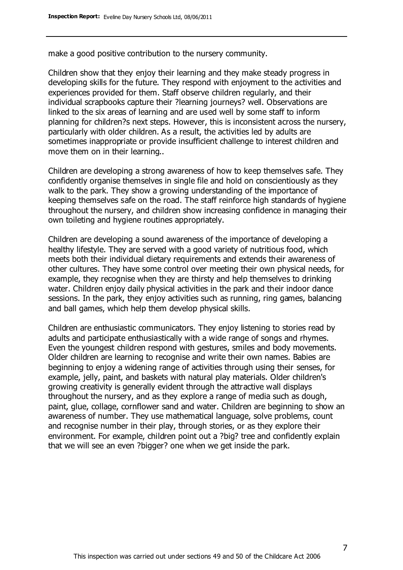make a good positive contribution to the nursery community.

Children show that they enjoy their learning and they make steady progress in developing skills for the future. They respond with enjoyment to the activities and experiences provided for them. Staff observe children regularly, and their individual scrapbooks capture their ?learning journeys? well. Observations are linked to the six areas of learning and are used well by some staff to inform planning for children?s next steps. However, this is inconsistent across the nursery, particularly with older children. As a result, the activities led by adults are sometimes inappropriate or provide insufficient challenge to interest children and move them on in their learning..

Children are developing a strong awareness of how to keep themselves safe. They confidently organise themselves in single file and hold on conscientiously as they walk to the park. They show a growing understanding of the importance of keeping themselves safe on the road. The staff reinforce high standards of hygiene throughout the nursery, and children show increasing confidence in managing their own toileting and hygiene routines appropriately.

Children are developing a sound awareness of the importance of developing a healthy lifestyle. They are served with a good variety of nutritious food, which meets both their individual dietary requirements and extends their awareness of other cultures. They have some control over meeting their own physical needs, for example, they recognise when they are thirsty and help themselves to drinking water. Children enjoy daily physical activities in the park and their indoor dance sessions. In the park, they enjoy activities such as running, ring games, balancing and ball games, which help them develop physical skills.

Children are enthusiastic communicators. They enjoy listening to stories read by adults and participate enthusiastically with a wide range of songs and rhymes. Even the youngest children respond with gestures, smiles and body movements. Older children are learning to recognise and write their own names. Babies are beginning to enjoy a widening range of activities through using their senses, for example, jelly, paint, and baskets with natural play materials. Older children's growing creativity is generally evident through the attractive wall displays throughout the nursery, and as they explore a range of media such as dough, paint, glue, collage, cornflower sand and water. Children are beginning to show an awareness of number. They use mathematical language, solve problems, count and recognise number in their play, through stories, or as they explore their environment. For example, children point out a ?big? tree and confidently explain that we will see an even ?bigger? one when we get inside the park.